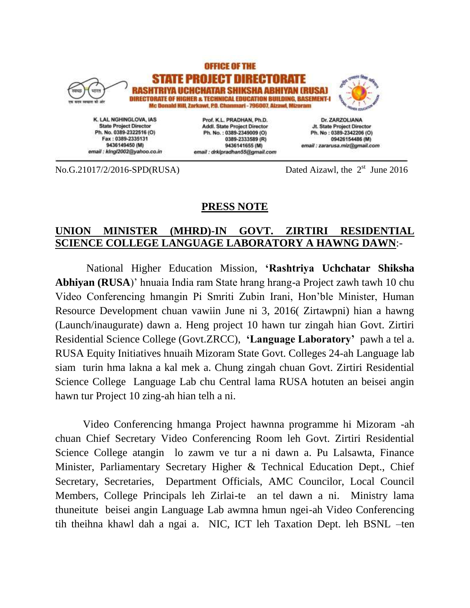

**State Project Director** Ph. No. 0389-2322516 (O) Fax: 0389-2335131 9436149450 (M) email : klngl2002@yahoo.co.in

Prof. K.L. PRADHAN, Ph.D. Addl. State Project Director Ph. No.: 0389-2349009 (O) 0389-2333589 (R) 9436141655 (M) email : drklpradhan55@gmail.com

Jt. State Project Director Ph. No: 0389-2342206 (O) 09426154486 (M) email : zararusa.miz@gmail.com

No.G.21017/2/2016-SPD(RUSA)

Dated Aizawl, the  $2<sup>st</sup>$  June 2016

## **PRESS NOTE**

## **UNION MINISTER (MHRD)-IN GOVT. ZIRTIRI RESIDENTIAL SCIENCE COLLEGE LANGUAGE LABORATORY A HAWNG DAWN**:-

National Higher Education Mission, **'Rashtriya Uchchatar Shiksha Abhiyan (RUSA**)' hnuaia India ram State hrang hrang-a Project zawh tawh 10 chu Video Conferencing hmangin Pi Smriti Zubin Irani, Hon'ble Minister, Human Resource Development chuan vawiin June ni 3, 2016( Zirtawpni) hian a hawng (Launch/inaugurate) dawn a. Heng project 10 hawn tur zingah hian Govt. Zirtiri Residential Science College (Govt.ZRCC), **'Language Laboratory'** pawh a tel a. RUSA Equity Initiatives hnuaih Mizoram State Govt. Colleges 24-ah Language lab siam turin hma lakna a kal mek a. Chung zingah chuan Govt. Zirtiri Residential Science College Language Lab chu Central lama RUSA hotuten an beisei angin hawn tur Project 10 zing-ah hian telh a ni.

Video Conferencing hmanga Project hawnna programme hi Mizoram -ah chuan Chief Secretary Video Conferencing Room leh Govt. Zirtiri Residential Science College atangin lo zawm ve tur a ni dawn a. Pu Lalsawta, Finance Minister, Parliamentary Secretary Higher & Technical Education Dept., Chief Secretary, Secretaries, Department Officials, AMC Councilor, Local Council Members, College Principals leh Zirlai-te an tel dawn a ni. Ministry lama thuneitute beisei angin Language Lab awmna hmun ngei-ah Video Conferencing tih theihna khawl dah a ngai a. NIC, ICT leh Taxation Dept. leh BSNL –ten